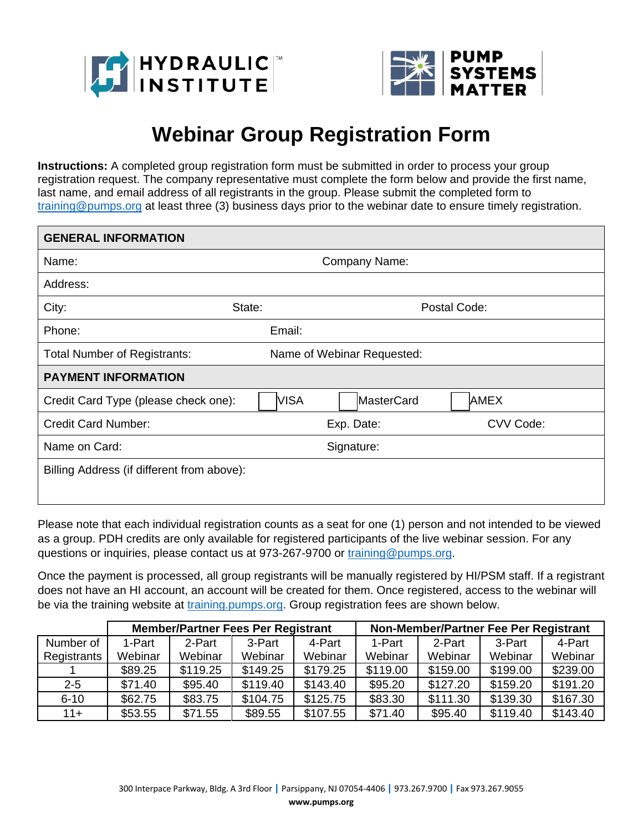



## **Webinar Group Registration Form**

**Instructions:** A completed group registration form must be submitted in order to process your group registration request. The company representative must complete the form below and provide the first name, last name, and email address of all registrants in the group. Please submit the completed form to [training@pumps.org](mailto:training@pumps.org) at least three (3) business days prior to the webinar date to ensure timely registration.

| <b>GENERAL INFORMATION</b>                 |               |                            |           |  |  |
|--------------------------------------------|---------------|----------------------------|-----------|--|--|
| Name:                                      | Company Name: |                            |           |  |  |
| Address:                                   |               |                            |           |  |  |
| City:<br>State:                            |               | Postal Code:               |           |  |  |
| Phone:                                     | Email:        |                            |           |  |  |
| <b>Total Number of Registrants:</b>        |               | Name of Webinar Requested: |           |  |  |
| <b>PAYMENT INFORMATION</b>                 |               |                            |           |  |  |
| Credit Card Type (please check one):       | VISA          | MasterCard                 | AMEX      |  |  |
| <b>Credit Card Number:</b>                 |               | Exp. Date:                 | CVV Code: |  |  |
| Name on Card:                              | Signature:    |                            |           |  |  |
| Billing Address (if different from above): |               |                            |           |  |  |
|                                            |               |                            |           |  |  |

Please note that each individual registration counts as a seat for one (1) person and not intended to be viewed as a group. PDH credits are only available for registered participants of the live webinar session. For any questions or inquiries, please contact us at 973-267-9700 or [training@pumps.org.](mailto:training@pumps.org)

Once the payment is processed, all group registrants will be manually registered by HI/PSM staff. If a registrant does not have an HI account, an account will be created for them. Once registered, access to the webinar will be via the training website at [training.pumps.org.](http://training.pumps.org/) Group registration fees are shown below.

|             | <b>Member/Partner Fees Per Registrant</b> |          |          | Non-Member/Partner Fee Per Registrant |          |          |          |          |
|-------------|-------------------------------------------|----------|----------|---------------------------------------|----------|----------|----------|----------|
| Number of   | 1-Part                                    | 2-Part   | 3-Part   | 4-Part                                | 1-Part   | 2-Part   | 3-Part   | 4-Part   |
| Registrants | Webinar                                   | Webinar  | Webinar  | Webinar                               | Webinar  | Webinar  | Webinar  | Webinar  |
|             | \$89.25                                   | \$119.25 | \$149.25 | \$179.25                              | \$119.00 | \$159.00 | \$199.00 | \$239.00 |
| $2 - 5$     | \$71.40                                   | \$95.40  | \$119.40 | \$143.40                              | \$95.20  | \$127.20 | \$159.20 | \$191.20 |
| $6 - 10$    | \$62.75                                   | \$83.75  | \$104.75 | \$125.75                              | \$83.30  | \$111.30 | \$139.30 | \$167.30 |
| $11+$       | \$53.55                                   | \$71.55  | \$89.55  | \$107.55                              | \$71.40  | \$95.40  | \$119.40 | \$143.40 |